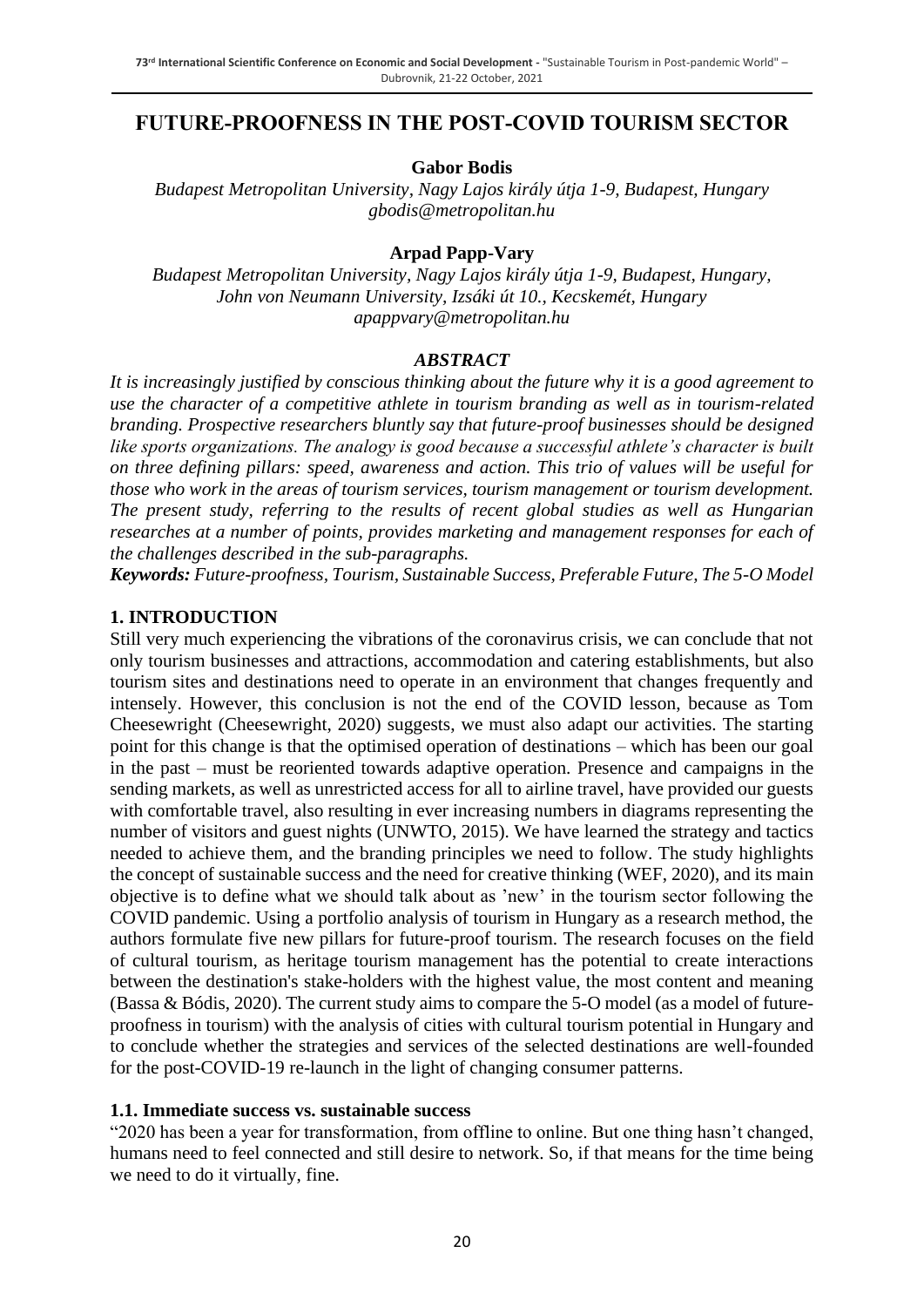## **FUTURE-PROOFNESS IN THE POST-COVID TOURISM SECTOR**

**Gabor Bodis**

*Budapest Metropolitan University, Nagy Lajos király útja 1-9, Budapest, Hungary gbodis@metropolitan.hu*

#### **Arpad Papp-Vary**

*Budapest Metropolitan University, Nagy Lajos király útja 1-9, Budapest, Hungary, John von Neumann University, Izsáki út 10., Kecskemét, Hungary apappvary@metropolitan.hu*

#### *ABSTRACT*

*It is increasingly justified by conscious thinking about the future why it is a good agreement to use the character of a competitive athlete in tourism branding as well as in tourism-related branding. Prospective researchers bluntly say that future-proof businesses should be designed like sports organizations. The analogy is good because a successful athlete's character is built on three defining pillars: speed, awareness and action. This trio of values will be useful for those who work in the areas of tourism services, tourism management or tourism development. The present study, referring to the results of recent global studies as well as Hungarian researches at a number of points, provides marketing and management responses for each of the challenges described in the sub-paragraphs.*

*Keywords: Future-proofness, Tourism, Sustainable Success, Preferable Future, The 5-O Model*

#### **1. INTRODUCTION**

Still very much experiencing the vibrations of the coronavirus crisis, we can conclude that not only tourism businesses and attractions, accommodation and catering establishments, but also tourism sites and destinations need to operate in an environment that changes frequently and intensely. However, this conclusion is not the end of the COVID lesson, because as Tom Cheesewright (Cheesewright, 2020) suggests, we must also adapt our activities. The starting point for this change is that the optimised operation of destinations – which has been our goal in the past – must be reoriented towards adaptive operation. Presence and campaigns in the sending markets, as well as unrestricted access for all to airline travel, have provided our guests with comfortable travel, also resulting in ever increasing numbers in diagrams representing the number of visitors and guest nights (UNWTO, 2015). We have learned the strategy and tactics needed to achieve them, and the branding principles we need to follow. The study highlights the concept of sustainable success and the need for creative thinking (WEF, 2020), and its main objective is to define what we should talk about as 'new' in the tourism sector following the COVID pandemic. Using a portfolio analysis of tourism in Hungary as a research method, the authors formulate five new pillars for future-proof tourism. The research focuses on the field of cultural tourism, as heritage tourism management has the potential to create interactions between the destination's stake-holders with the highest value, the most content and meaning (Bassa & Bódis, 2020). The current study aims to compare the 5-O model (as a model of futureproofness in tourism) with the analysis of cities with cultural tourism potential in Hungary and to conclude whether the strategies and services of the selected destinations are well-founded for the post-COVID-19 re-launch in the light of changing consumer patterns.

#### **1.1. Immediate success vs. sustainable success**

"2020 has been a year for transformation, from offline to online. But one thing hasn't changed, humans need to feel connected and still desire to network. So, if that means for the time being we need to do it virtually, fine.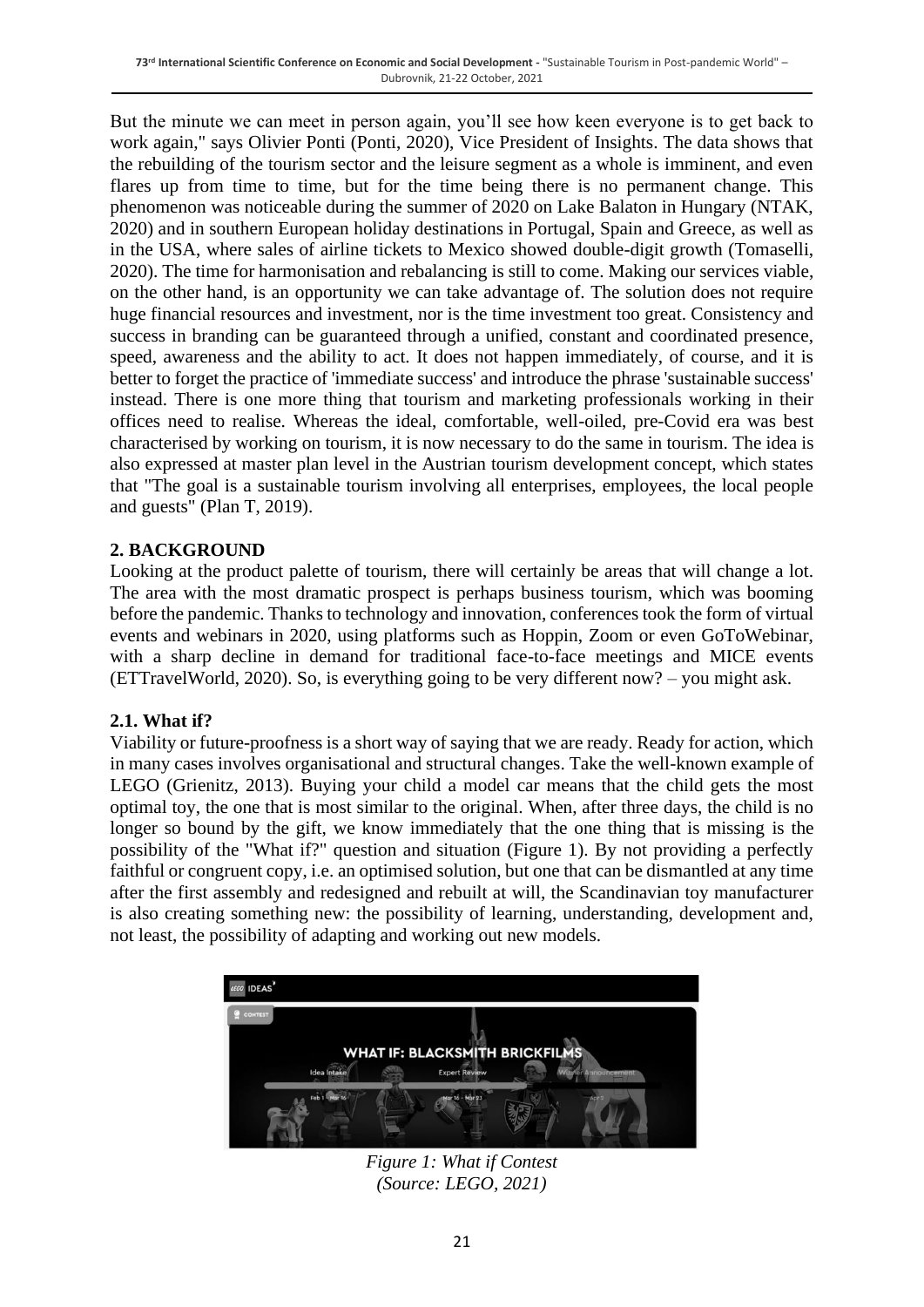But the minute we can meet in person again, you'll see how keen everyone is to get back to work again," says Olivier Ponti (Ponti, 2020), Vice President of Insights. The data shows that the rebuilding of the tourism sector and the leisure segment as a whole is imminent, and even flares up from time to time, but for the time being there is no permanent change. This phenomenon was noticeable during the summer of 2020 on Lake Balaton in Hungary (NTAK, 2020) and in southern European holiday destinations in Portugal, Spain and Greece, as well as in the USA, where sales of airline tickets to Mexico showed double-digit growth (Tomaselli, 2020). The time for harmonisation and rebalancing is still to come. Making our services viable, on the other hand, is an opportunity we can take advantage of. The solution does not require huge financial resources and investment, nor is the time investment too great. Consistency and success in branding can be guaranteed through a unified, constant and coordinated presence, speed, awareness and the ability to act. It does not happen immediately, of course, and it is better to forget the practice of 'immediate success' and introduce the phrase 'sustainable success' instead. There is one more thing that tourism and marketing professionals working in their offices need to realise. Whereas the ideal, comfortable, well-oiled, pre-Covid era was best characterised by working on tourism, it is now necessary to do the same in tourism. The idea is also expressed at master plan level in the Austrian tourism development concept, which states that "The goal is a sustainable tourism involving all enterprises, employees, the local people and guests" (Plan T, 2019).

#### **2. BACKGROUND**

Looking at the product palette of tourism, there will certainly be areas that will change a lot. The area with the most dramatic prospect is perhaps business tourism, which was booming before the pandemic. Thanks to technology and innovation, conferences took the form of virtual events and webinars in 2020, using platforms such as Hoppin, Zoom or even GoToWebinar, with a sharp decline in demand for traditional face-to-face meetings and MICE events (ETTravelWorld, 2020). So, is everything going to be very different now? – you might ask.

#### **2.1. What if?**

Viability or future-proofness is a short way of saying that we are ready. Ready for action, which in many cases involves organisational and structural changes. Take the well-known example of LEGO (Grienitz, 2013). Buying your child a model car means that the child gets the most optimal toy, the one that is most similar to the original. When, after three days, the child is no longer so bound by the gift, we know immediately that the one thing that is missing is the possibility of the "What if?" question and situation (Figure 1). By not providing a perfectly faithful or congruent copy, i.e. an optimised solution, but one that can be dismantled at any time after the first assembly and redesigned and rebuilt at will, the Scandinavian toy manufacturer is also creating something new: the possibility of learning, understanding, development and, not least, the possibility of adapting and working out new models.



*Figure 1: What if Contest (Source: LEGO, 2021)*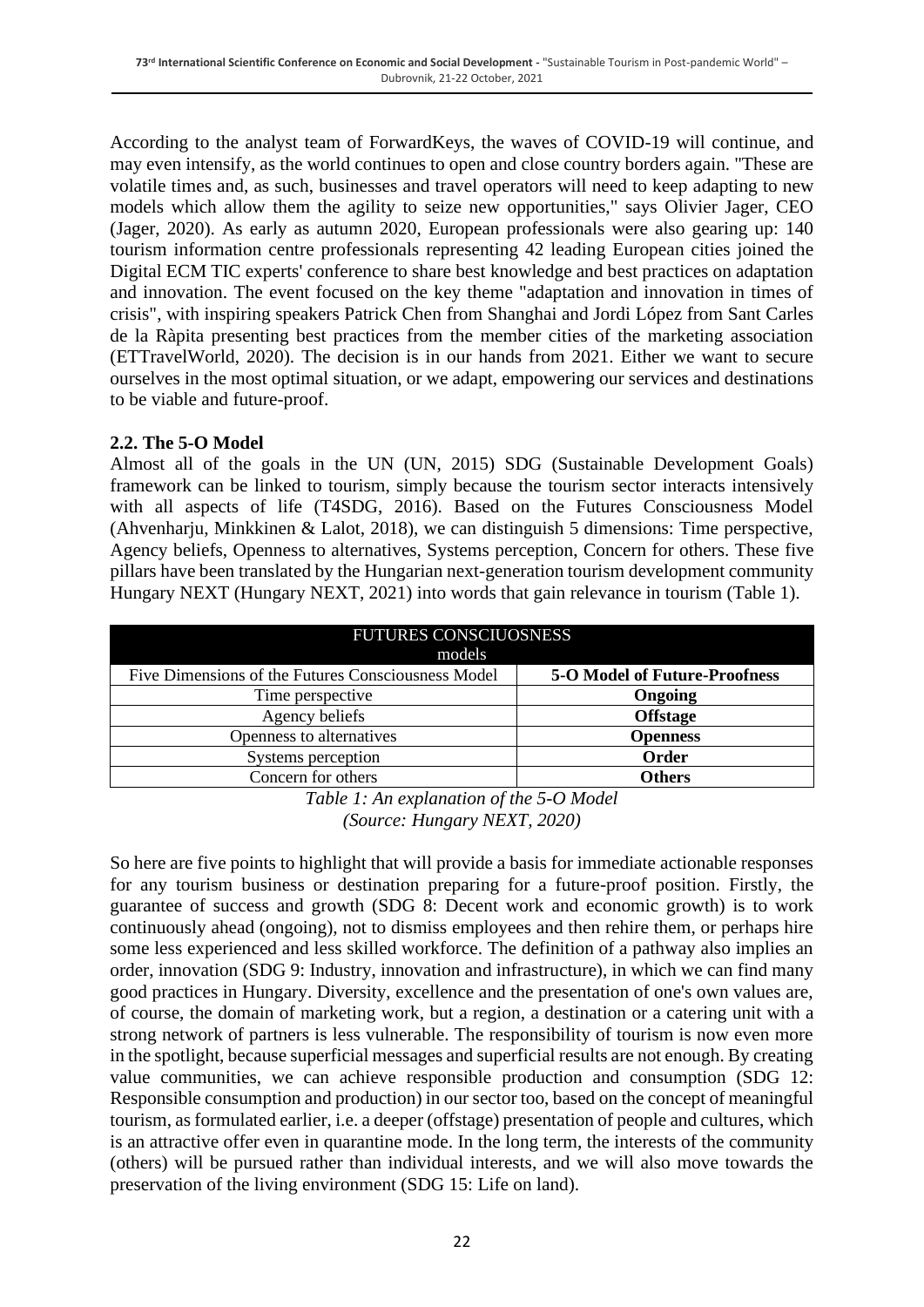According to the analyst team of ForwardKeys, the waves of COVID-19 will continue, and may even intensify, as the world continues to open and close country borders again. "These are volatile times and, as such, businesses and travel operators will need to keep adapting to new models which allow them the agility to seize new opportunities," says Olivier Jager, CEO (Jager, 2020). As early as autumn 2020, European professionals were also gearing up: 140 tourism information centre professionals representing 42 leading European cities joined the Digital ECM TIC experts' conference to share best knowledge and best practices on adaptation and innovation. The event focused on the key theme "adaptation and innovation in times of crisis", with inspiring speakers Patrick Chen from Shanghai and Jordi López from Sant Carles de la Ràpita presenting best practices from the member cities of the marketing association (ETTravelWorld, 2020). The decision is in our hands from 2021. Either we want to secure ourselves in the most optimal situation, or we adapt, empowering our services and destinations to be viable and future-proof.

#### **2.2. The 5-O Model**

Almost all of the goals in the UN (UN, 2015) SDG (Sustainable Development Goals) framework can be linked to tourism, simply because the tourism sector interacts intensively with all aspects of life (T4SDG, 2016). Based on the Futures Consciousness Model (Ahvenharju, Minkkinen & Lalot, 2018), we can distinguish 5 dimensions: Time perspective, Agency beliefs, Openness to alternatives, Systems perception, Concern for others. These five pillars have been translated by the Hungarian next-generation tourism development community Hungary NEXT (Hungary NEXT, 2021) into words that gain relevance in tourism (Table 1).

| <b>FUTURES CONSCIUOSNESS</b><br>models             |                                      |  |  |  |
|----------------------------------------------------|--------------------------------------|--|--|--|
| Five Dimensions of the Futures Consciousness Model | <b>5-O Model of Future-Proofness</b> |  |  |  |
| Time perspective                                   | Ongoing                              |  |  |  |
| Agency beliefs                                     | <b>Offstage</b>                      |  |  |  |
| Openness to alternatives                           | <b>Openness</b>                      |  |  |  |
| Systems perception                                 | Order                                |  |  |  |
| Concern for others                                 | <b>Others</b>                        |  |  |  |

*Table 1: An explanation of the 5-O Model (Source: Hungary NEXT, 2020)*

So here are five points to highlight that will provide a basis for immediate actionable responses for any tourism business or destination preparing for a future-proof position. Firstly, the guarantee of success and growth (SDG 8: Decent work and economic growth) is to work continuously ahead (ongoing), not to dismiss employees and then rehire them, or perhaps hire some less experienced and less skilled workforce. The definition of a pathway also implies an order, innovation (SDG 9: Industry, innovation and infrastructure), in which we can find many good practices in Hungary. Diversity, excellence and the presentation of one's own values are, of course, the domain of marketing work, but a region, a destination or a catering unit with a strong network of partners is less vulnerable. The responsibility of tourism is now even more in the spotlight, because superficial messages and superficial results are not enough. By creating value communities, we can achieve responsible production and consumption (SDG 12: Responsible consumption and production) in our sector too, based on the concept of meaningful tourism, as formulated earlier, i.e. a deeper (offstage) presentation of people and cultures, which is an attractive offer even in quarantine mode. In the long term, the interests of the community (others) will be pursued rather than individual interests, and we will also move towards the preservation of the living environment (SDG 15: Life on land).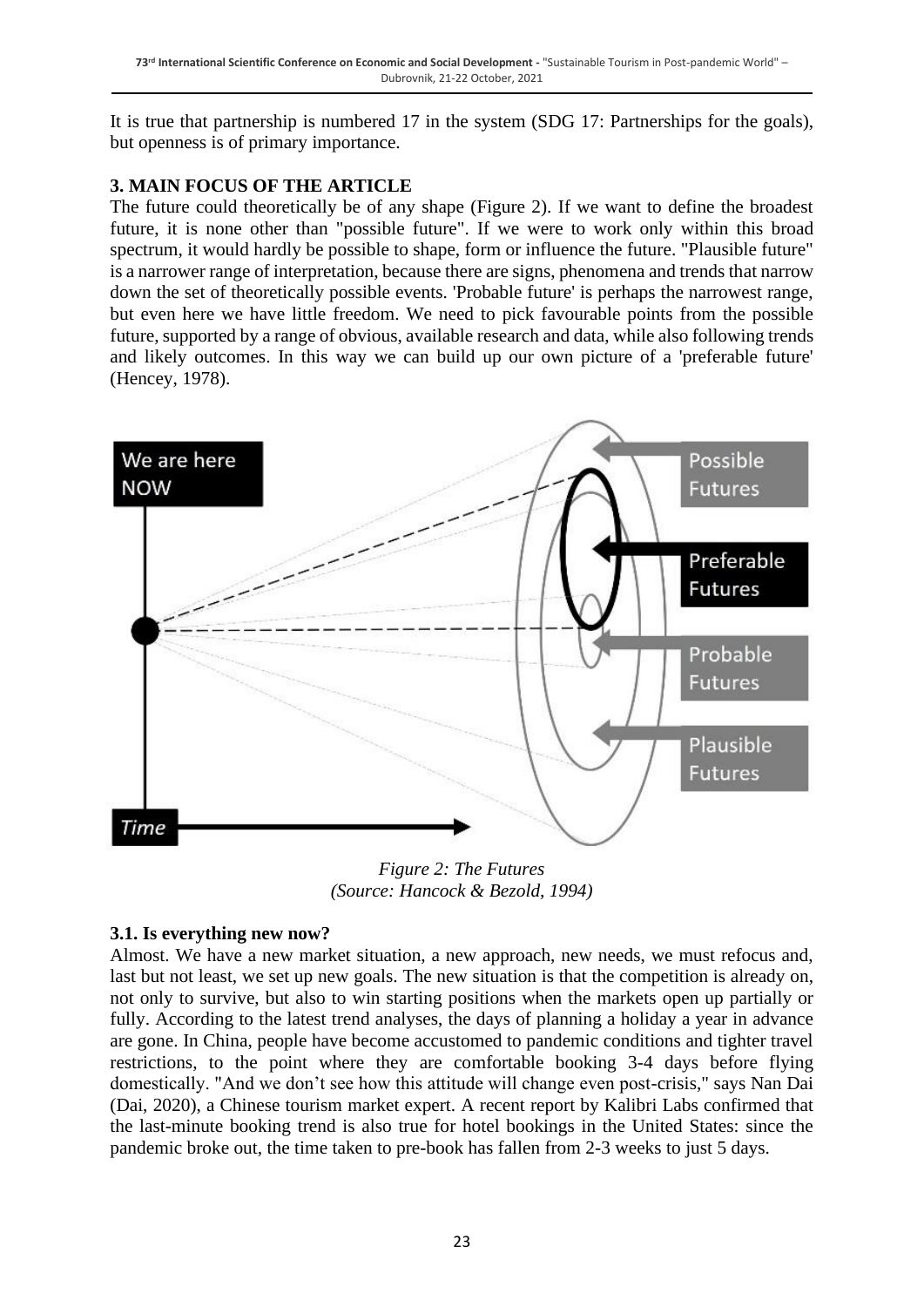It is true that partnership is numbered 17 in the system (SDG 17: Partnerships for the goals), but openness is of primary importance.

## **3. MAIN FOCUS OF THE ARTICLE**

The future could theoretically be of any shape (Figure 2). If we want to define the broadest future, it is none other than "possible future". If we were to work only within this broad spectrum, it would hardly be possible to shape, form or influence the future. "Plausible future" is a narrower range of interpretation, because there are signs, phenomena and trends that narrow down the set of theoretically possible events. 'Probable future' is perhaps the narrowest range, but even here we have little freedom. We need to pick favourable points from the possible future, supported by a range of obvious, available research and data, while also following trends and likely outcomes. In this way we can build up our own picture of a 'preferable future' (Hencey, 1978).



*Figure 2: The Futures (Source: Hancock & Bezold, 1994)*

## **3.1. Is everything new now?**

Almost. We have a new market situation, a new approach, new needs, we must refocus and, last but not least, we set up new goals. The new situation is that the competition is already on, not only to survive, but also to win starting positions when the markets open up partially or fully. According to the latest trend analyses, the days of planning a holiday a year in advance are gone. In China, people have become accustomed to pandemic conditions and tighter travel restrictions, to the point where they are comfortable booking 3-4 days before flying domestically. "And we don't see how this attitude will change even post-crisis," says Nan Dai (Dai, 2020), a Chinese tourism market expert. A recent report by Kalibri Labs confirmed that the last-minute booking trend is also true for hotel bookings in the United States: since the pandemic broke out, the time taken to pre-book has fallen from 2-3 weeks to just 5 days.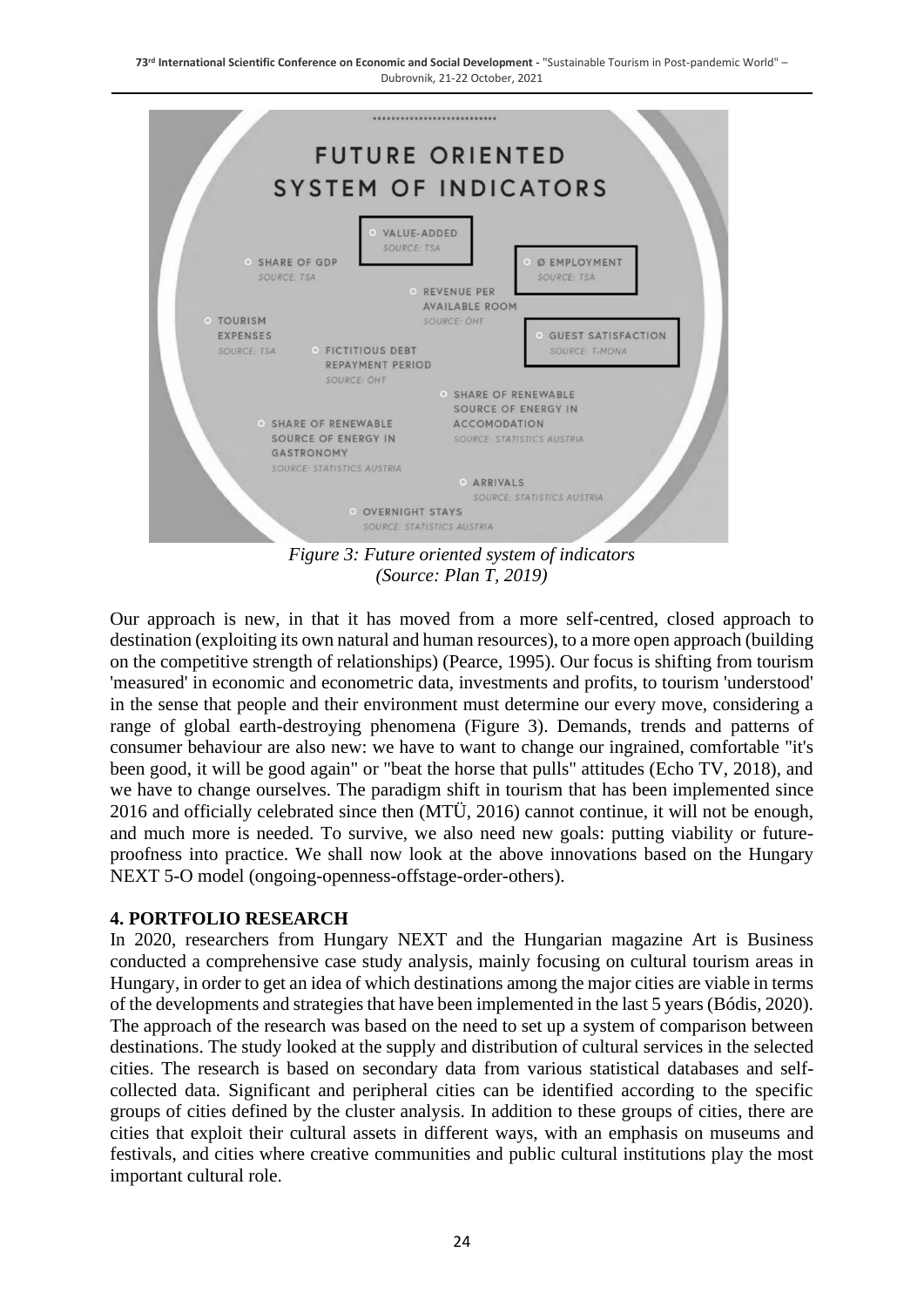

*Figure 3: Future oriented system of indicators (Source: Plan T, 2019)*

Our approach is new, in that it has moved from a more self-centred, closed approach to destination (exploiting its own natural and human resources), to a more open approach (building on the competitive strength of relationships) (Pearce, 1995). Our focus is shifting from tourism 'measured' in economic and econometric data, investments and profits, to tourism 'understood' in the sense that people and their environment must determine our every move, considering a range of global earth-destroying phenomena (Figure 3). Demands, trends and patterns of consumer behaviour are also new: we have to want to change our ingrained, comfortable "it's been good, it will be good again" or "beat the horse that pulls" attitudes (Echo TV, 2018), and we have to change ourselves. The paradigm shift in tourism that has been implemented since 2016 and officially celebrated since then (MTÜ, 2016) cannot continue, it will not be enough, and much more is needed. To survive, we also need new goals: putting viability or futureproofness into practice. We shall now look at the above innovations based on the Hungary NEXT 5-O model (ongoing-openness-offstage-order-others).

#### **4. PORTFOLIO RESEARCH**

In 2020, researchers from Hungary NEXT and the Hungarian magazine Art is Business conducted a comprehensive case study analysis, mainly focusing on cultural tourism areas in Hungary, in order to get an idea of which destinations among the major cities are viable in terms of the developments and strategies that have been implemented in the last 5 years (Bódis, 2020). The approach of the research was based on the need to set up a system of comparison between destinations. The study looked at the supply and distribution of cultural services in the selected cities. The research is based on secondary data from various statistical databases and selfcollected data. Significant and peripheral cities can be identified according to the specific groups of cities defined by the cluster analysis. In addition to these groups of cities, there are cities that exploit their cultural assets in different ways, with an emphasis on museums and festivals, and cities where creative communities and public cultural institutions play the most important cultural role.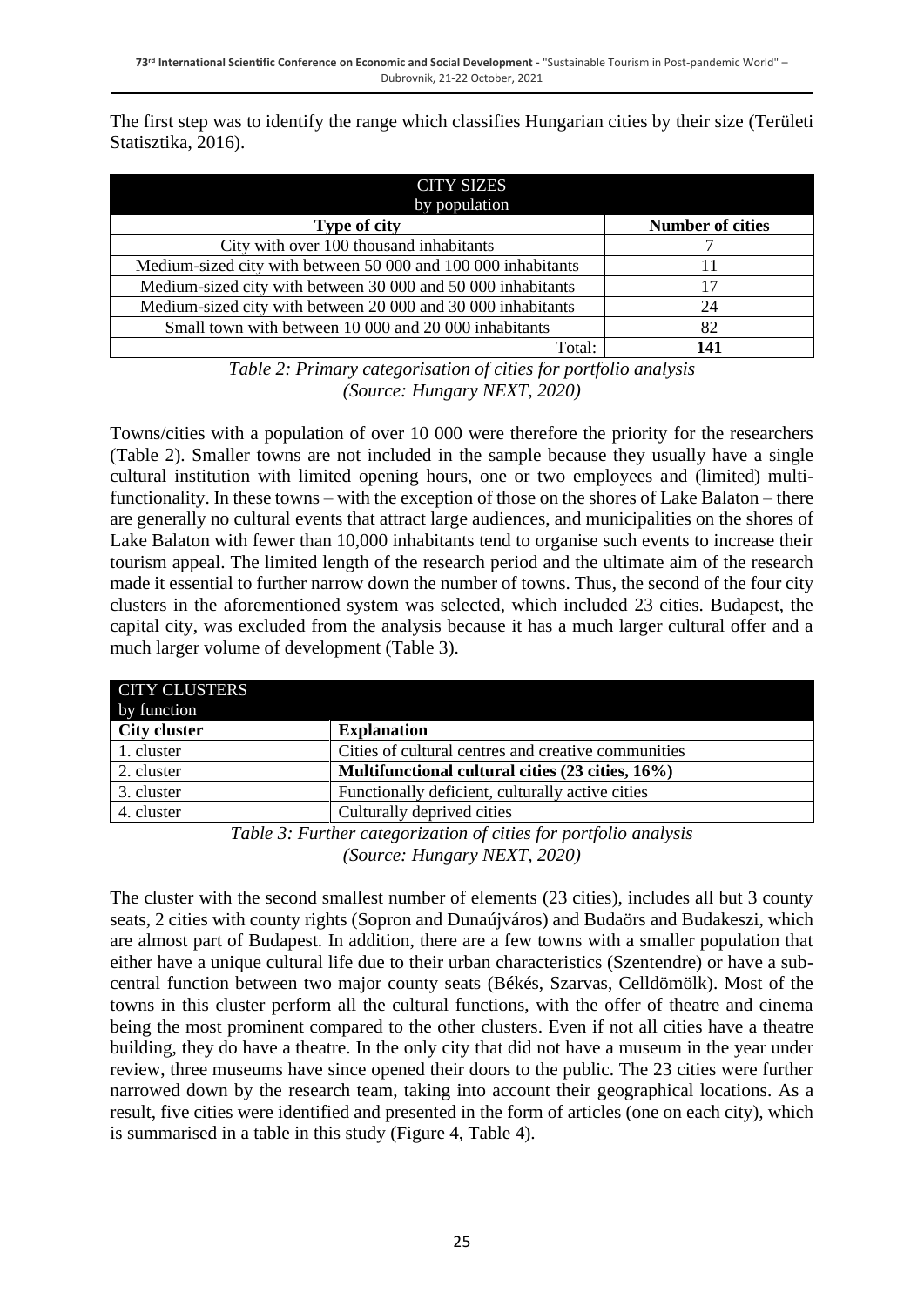The first step was to identify the range which classifies Hungarian cities by their size (Területi Statisztika, 2016).

| <b>CITY SIZES</b><br>by population                            |                         |
|---------------------------------------------------------------|-------------------------|
| <b>Type of city</b>                                           | <b>Number of cities</b> |
| City with over 100 thousand inhabitants                       |                         |
| Medium-sized city with between 50 000 and 100 000 inhabitants | 11                      |
| Medium-sized city with between 30 000 and 50 000 inhabitants  | 17                      |
| Medium-sized city with between 20 000 and 30 000 inhabitants  | 24                      |
| Small town with between 10 000 and 20 000 inhabitants         | 82                      |
| Total:                                                        | 141                     |

*Table 2: Primary categorisation of cities for portfolio analysis (Source: Hungary NEXT, 2020)*

Towns/cities with a population of over 10 000 were therefore the priority for the researchers (Table 2). Smaller towns are not included in the sample because they usually have a single cultural institution with limited opening hours, one or two employees and (limited) multifunctionality. In these towns – with the exception of those on the shores of Lake Balaton – there are generally no cultural events that attract large audiences, and municipalities on the shores of Lake Balaton with fewer than 10,000 inhabitants tend to organise such events to increase their tourism appeal. The limited length of the research period and the ultimate aim of the research made it essential to further narrow down the number of towns. Thus, the second of the four city clusters in the aforementioned system was selected, which included 23 cities. Budapest, the capital city, was excluded from the analysis because it has a much larger cultural offer and a much larger volume of development (Table 3).

| <b>CITY CLUSTERS</b><br>by function |                                                     |
|-------------------------------------|-----------------------------------------------------|
| <b>City cluster</b>                 | <b>Explanation</b>                                  |
| 1. cluster                          | Cities of cultural centres and creative communities |
| 2. cluster                          | Multifunctional cultural cities (23 cities, 16%)    |
| 3. cluster                          | Functionally deficient, culturally active cities    |
| 4. cluster                          | Culturally deprived cities                          |

*Table 3: Further categorization of cities for portfolio analysis (Source: Hungary NEXT, 2020)*

The cluster with the second smallest number of elements (23 cities), includes all but 3 county seats, 2 cities with county rights (Sopron and Dunaújváros) and Budaörs and Budakeszi, which are almost part of Budapest. In addition, there are a few towns with a smaller population that either have a unique cultural life due to their urban characteristics (Szentendre) or have a subcentral function between two major county seats (Békés, Szarvas, Celldömölk). Most of the towns in this cluster perform all the cultural functions, with the offer of theatre and cinema being the most prominent compared to the other clusters. Even if not all cities have a theatre building, they do have a theatre. In the only city that did not have a museum in the year under review, three museums have since opened their doors to the public. The 23 cities were further narrowed down by the research team, taking into account their geographical locations. As a result, five cities were identified and presented in the form of articles (one on each city), which is summarised in a table in this study (Figure 4, Table 4).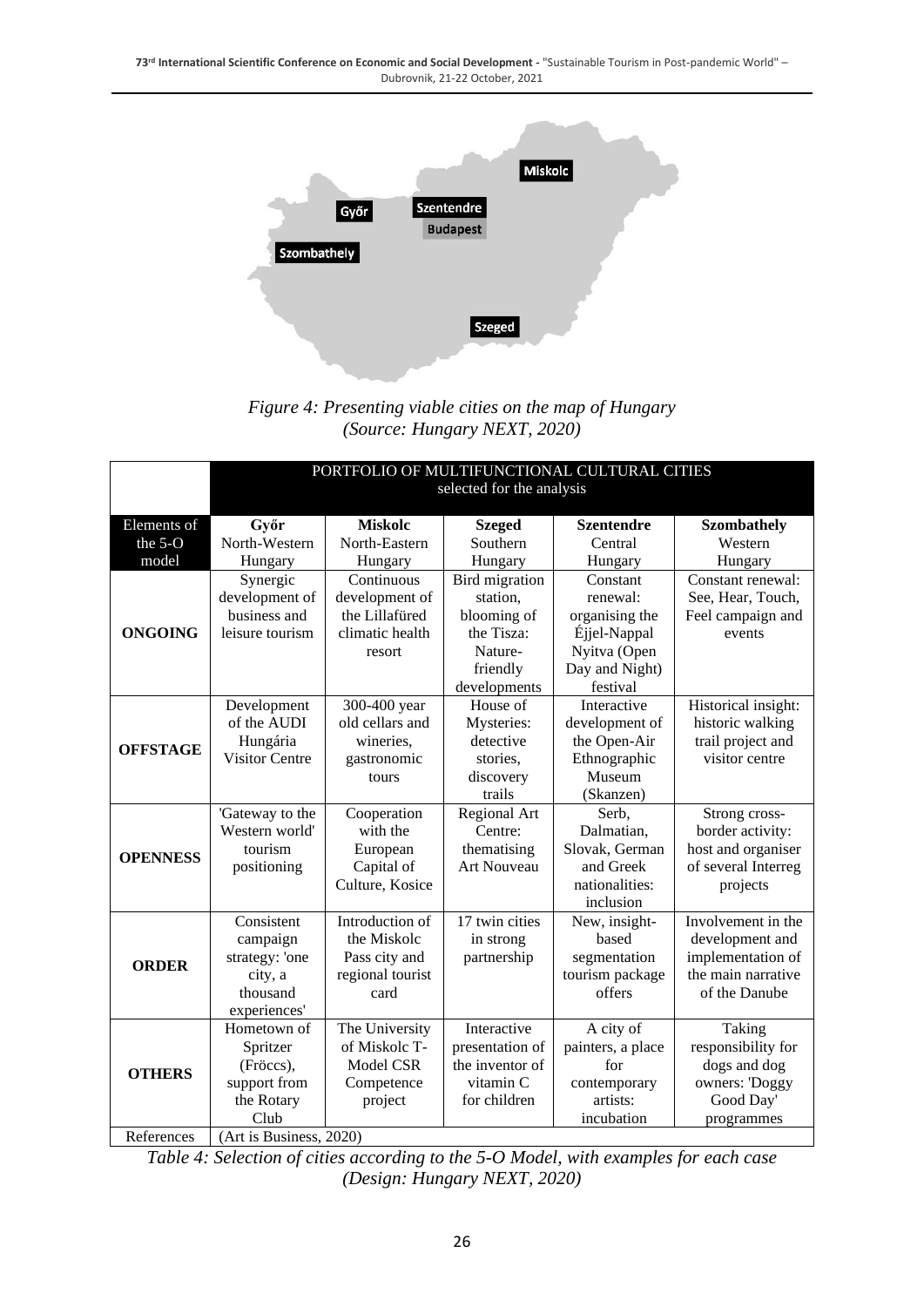

*Figure 4: Presenting viable cities on the map of Hungary (Source: Hungary NEXT, 2020)*

|                 | PORTFOLIO OF MULTIFUNCTIONAL CULTURAL CITIES |                  |                       |                   |                     |  |
|-----------------|----------------------------------------------|------------------|-----------------------|-------------------|---------------------|--|
|                 | selected for the analysis                    |                  |                       |                   |                     |  |
| Elements of     | Győr                                         | <b>Miskolc</b>   | <b>Szeged</b>         | <b>Szentendre</b> | <b>Szombathely</b>  |  |
| the 5-O         | North-Western                                | North-Eastern    | Southern              | Central           | Western             |  |
| model           | Hungary                                      | Hungary          | Hungary               | Hungary           | Hungary             |  |
|                 | Synergic                                     | Continuous       | <b>Bird</b> migration | Constant          | Constant renewal:   |  |
|                 | development of                               | development of   | station,              | renewal:          | See, Hear, Touch,   |  |
|                 | business and                                 | the Lillafüred   | blooming of           | organising the    | Feel campaign and   |  |
| <b>ONGOING</b>  | leisure tourism                              | climatic health  | the Tisza:            | Éjjel-Nappal      | events              |  |
|                 |                                              | resort           | Nature-               | Nyitva (Open      |                     |  |
|                 |                                              |                  | friendly              | Day and Night)    |                     |  |
|                 |                                              |                  | developments          | festival          |                     |  |
| <b>OFFSTAGE</b> | Development                                  | 300-400 year     | House of              | Interactive       | Historical insight: |  |
|                 | of the AUDI                                  | old cellars and  | Mysteries:            | development of    | historic walking    |  |
|                 | Hungária                                     | wineries,        | detective             | the Open-Air      | trail project and   |  |
|                 | <b>Visitor Centre</b>                        | gastronomic      | stories,              | Ethnographic      | visitor centre      |  |
|                 |                                              | tours            | discovery             | Museum            |                     |  |
|                 |                                              |                  | trails                | (Skanzen)         |                     |  |
|                 | 'Gateway to the                              | Cooperation      | Regional Art          | Serb,             | Strong cross-       |  |
|                 | Western world'                               | with the         | Centre:               | Dalmatian,        | border activity:    |  |
| <b>OPENNESS</b> | tourism                                      | European         | thematising           | Slovak, German    | host and organiser  |  |
|                 | positioning                                  | Capital of       | <b>Art Nouveau</b>    | and Greek         | of several Interreg |  |
|                 |                                              | Culture, Kosice  |                       | nationalities:    | projects            |  |
|                 |                                              |                  |                       | inclusion         |                     |  |
| <b>ORDER</b>    | Consistent                                   | Introduction of  | 17 twin cities        | New, insight-     | Involvement in the  |  |
|                 | campaign                                     | the Miskolc      | in strong             | based             | development and     |  |
|                 | strategy: 'one                               | Pass city and    | partnership           | segmentation      | implementation of   |  |
|                 | city, a                                      | regional tourist |                       | tourism package   | the main narrative  |  |
|                 | thousand                                     | card             |                       | offers            | of the Danube       |  |
|                 | experiences'                                 |                  |                       |                   |                     |  |
|                 | Hometown of                                  | The University   | Interactive           | A city of         | Taking              |  |
| <b>OTHERS</b>   | Spritzer                                     | of Miskolc T-    | presentation of       | painters, a place | responsibility for  |  |
|                 | (Fröccs),                                    | Model CSR        | the inventor of       | for               | dogs and dog        |  |
|                 | support from                                 | Competence       | vitamin C             | contemporary      | owners: 'Doggy      |  |
|                 | the Rotary                                   | project          | for children          | artists:          | Good Day'           |  |
|                 | Club                                         |                  |                       | incubation        | programmes          |  |
| References      | $\overline{(Art is Business, 2020)}$         |                  |                       |                   |                     |  |

*Table 4: Selection of cities according to the 5-O Model, with examples for each case (Design: Hungary NEXT, 2020)*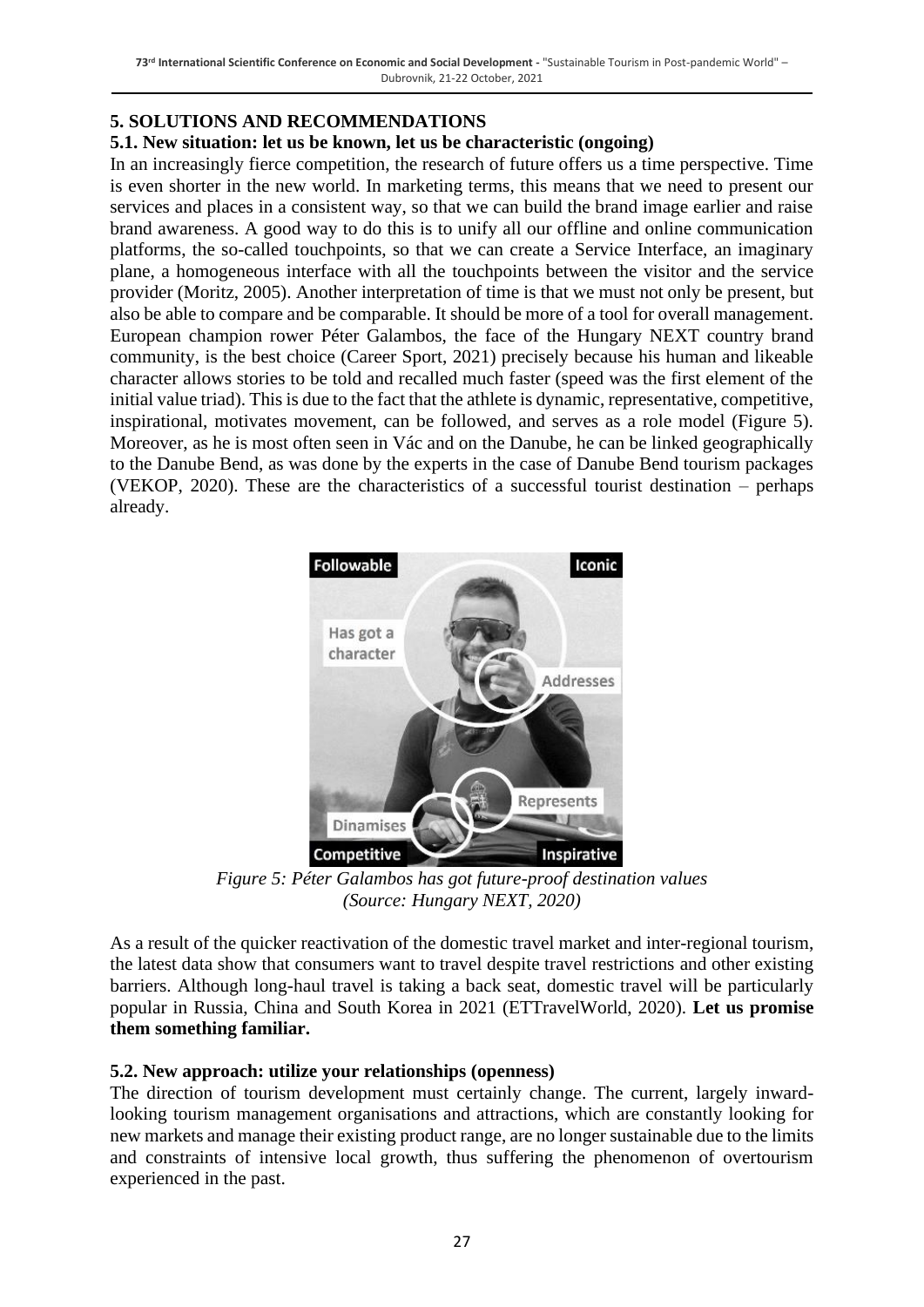#### **5. SOLUTIONS AND RECOMMENDATIONS**

#### **5.1. New situation: let us be known, let us be characteristic (ongoing)**

In an increasingly fierce competition, the research of future offers us a time perspective. Time is even shorter in the new world. In marketing terms, this means that we need to present our services and places in a consistent way, so that we can build the brand image earlier and raise brand awareness. A good way to do this is to unify all our offline and online communication platforms, the so-called touchpoints, so that we can create a Service Interface, an imaginary plane, a homogeneous interface with all the touchpoints between the visitor and the service provider (Moritz, 2005). Another interpretation of time is that we must not only be present, but also be able to compare and be comparable. It should be more of a tool for overall management. European champion rower Péter Galambos, the face of the Hungary NEXT country brand community, is the best choice (Career Sport, 2021) precisely because his human and likeable character allows stories to be told and recalled much faster (speed was the first element of the initial value triad). This is due to the fact that the athlete is dynamic, representative, competitive, inspirational, motivates movement, can be followed, and serves as a role model (Figure 5). Moreover, as he is most often seen in Vác and on the Danube, he can be linked geographically to the Danube Bend, as was done by the experts in the case of Danube Bend tourism packages (VEKOP, 2020). These are the characteristics of a successful tourist destination – perhaps already.



*Figure 5: Péter Galambos has got future-proof destination values (Source: Hungary NEXT, 2020)*

As a result of the quicker reactivation of the domestic travel market and inter-regional tourism, the latest data show that consumers want to travel despite travel restrictions and other existing barriers. Although long-haul travel is taking a back seat, domestic travel will be particularly popular in Russia, China and South Korea in 2021 (ETTravelWorld, 2020). **Let us promise them something familiar.**

#### **5.2. New approach: utilize your relationships (openness)**

The direction of tourism development must certainly change. The current, largely inwardlooking tourism management organisations and attractions, which are constantly looking for new markets and manage their existing product range, are no longer sustainable due to the limits and constraints of intensive local growth, thus suffering the phenomenon of overtourism experienced in the past.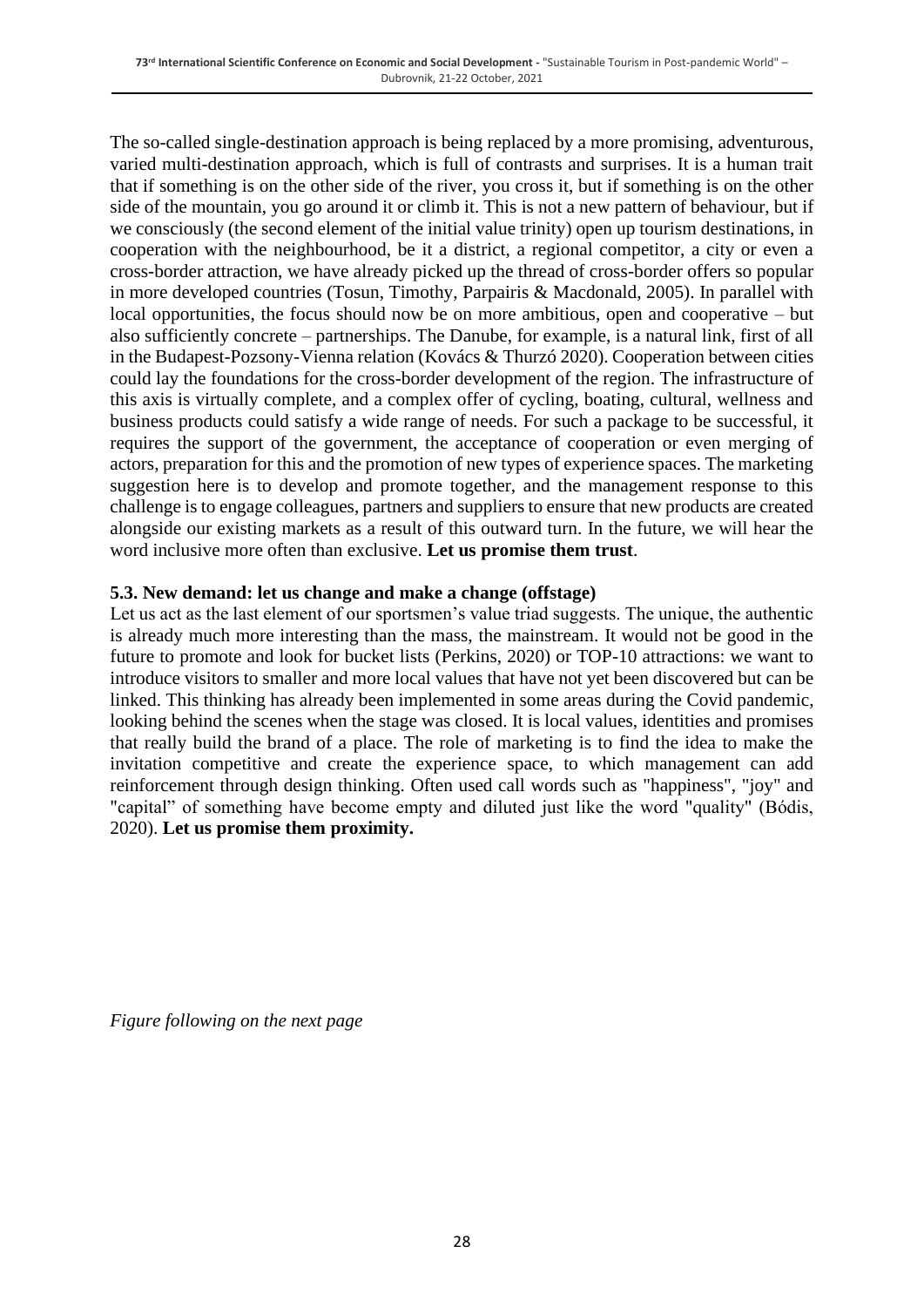The so-called single-destination approach is being replaced by a more promising, adventurous, varied multi-destination approach, which is full of contrasts and surprises. It is a human trait that if something is on the other side of the river, you cross it, but if something is on the other side of the mountain, you go around it or climb it. This is not a new pattern of behaviour, but if we consciously (the second element of the initial value trinity) open up tourism destinations, in cooperation with the neighbourhood, be it a district, a regional competitor, a city or even a cross-border attraction, we have already picked up the thread of cross-border offers so popular in more developed countries (Tosun, Timothy, Parpairis & Macdonald, 2005). In parallel with local opportunities, the focus should now be on more ambitious, open and cooperative – but also sufficiently concrete – partnerships. The Danube, for example, is a natural link, first of all in the Budapest-Pozsony-Vienna relation (Kovács & Thurzó 2020). Cooperation between cities could lay the foundations for the cross-border development of the region. The infrastructure of this axis is virtually complete, and a complex offer of cycling, boating, cultural, wellness and business products could satisfy a wide range of needs. For such a package to be successful, it requires the support of the government, the acceptance of cooperation or even merging of actors, preparation for this and the promotion of new types of experience spaces. The marketing suggestion here is to develop and promote together, and the management response to this challenge is to engage colleagues, partners and suppliers to ensure that new products are created alongside our existing markets as a result of this outward turn. In the future, we will hear the word inclusive more often than exclusive. **Let us promise them trust**.

#### **5.3. New demand: let us change and make a change (offstage)**

Let us act as the last element of our sportsmen's value triad suggests. The unique, the authentic is already much more interesting than the mass, the mainstream. It would not be good in the future to promote and look for bucket lists (Perkins, 2020) or TOP-10 attractions: we want to introduce visitors to smaller and more local values that have not yet been discovered but can be linked. This thinking has already been implemented in some areas during the Covid pandemic, looking behind the scenes when the stage was closed. It is local values, identities and promises that really build the brand of a place. The role of marketing is to find the idea to make the invitation competitive and create the experience space, to which management can add reinforcement through design thinking. Often used call words such as "happiness", "joy" and "capital" of something have become empty and diluted just like the word "quality" (Bódis, 2020). **Let us promise them proximity.**

*Figure following on the next page*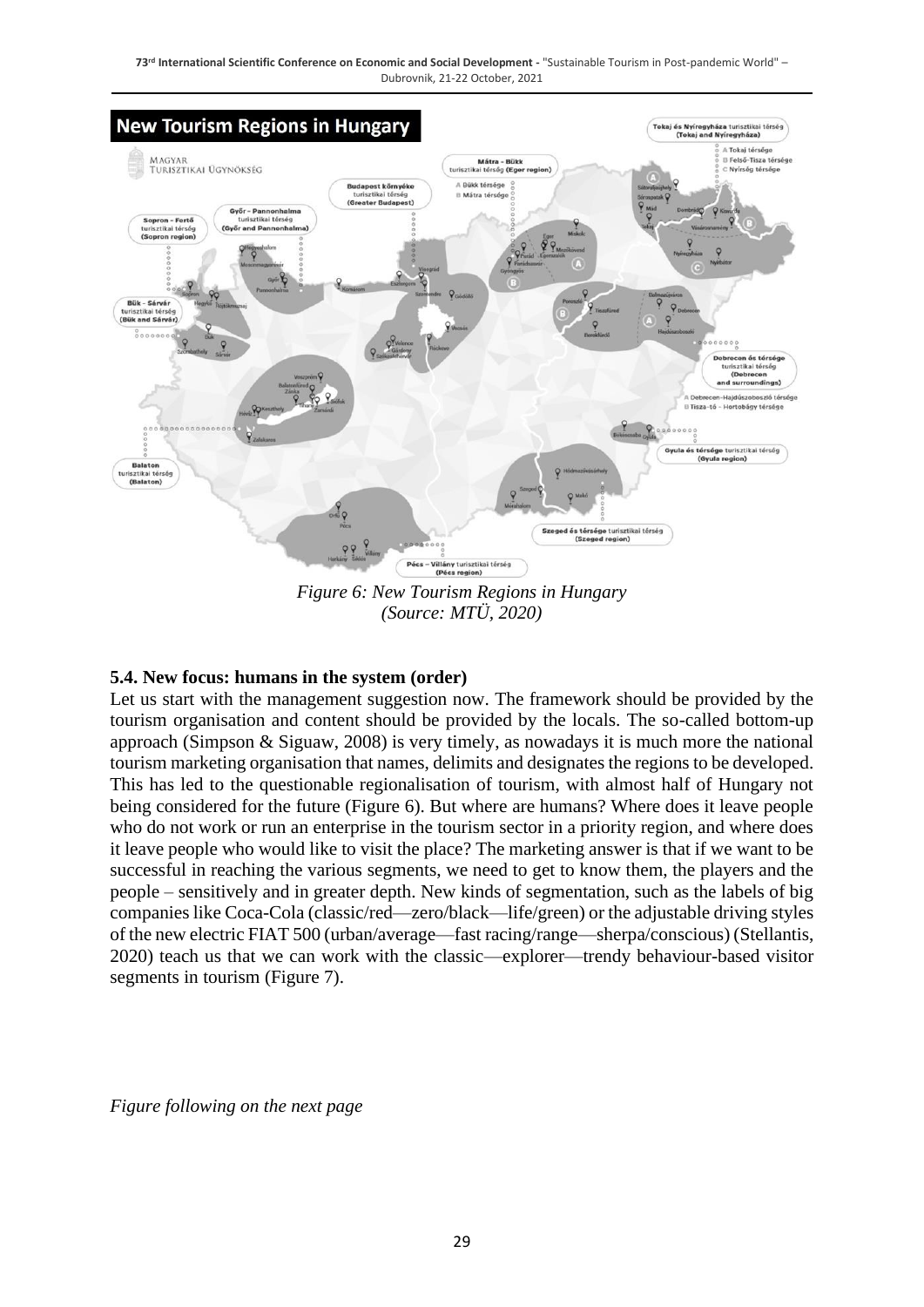

*Figure 6: New Tourism Regions in Hungary (Source: MTÜ, 2020)*

#### **5.4. New focus: humans in the system (order)**

Let us start with the management suggestion now. The framework should be provided by the tourism organisation and content should be provided by the locals. The so-called bottom-up approach (Simpson & Siguaw, 2008) is very timely, as nowadays it is much more the national tourism marketing organisation that names, delimits and designates the regions to be developed. This has led to the questionable regionalisation of tourism, with almost half of Hungary not being considered for the future (Figure 6). But where are humans? Where does it leave people who do not work or run an enterprise in the tourism sector in a priority region, and where does it leave people who would like to visit the place? The marketing answer is that if we want to be successful in reaching the various segments, we need to get to know them, the players and the people – sensitively and in greater depth. New kinds of segmentation, such as the labels of big companies like Coca-Cola (classic/red—zero/black—life/green) or the adjustable driving styles of the new electric FIAT 500 (urban/average—fast racing/range—sherpa/conscious) (Stellantis, 2020) teach us that we can work with the classic—explorer—trendy behaviour-based visitor segments in tourism (Figure 7).

*Figure following on the next page*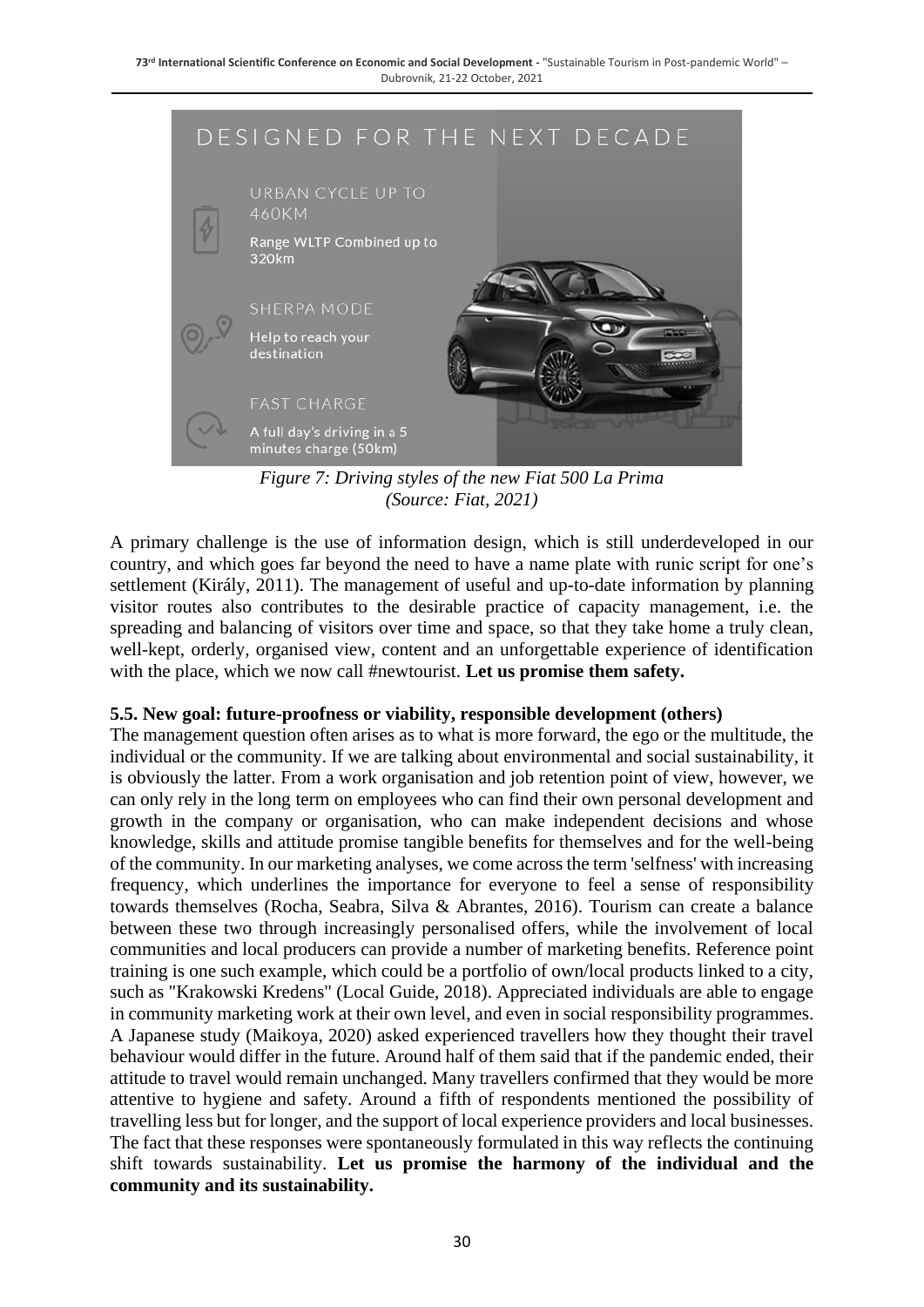

*Figure 7: Driving styles of the new Fiat 500 La Prima (Source: Fiat, 2021)*

A primary challenge is the use of information design, which is still underdeveloped in our country, and which goes far beyond the need to have a name plate with runic script for one's settlement (Király, 2011). The management of useful and up-to-date information by planning visitor routes also contributes to the desirable practice of capacity management, i.e. the spreading and balancing of visitors over time and space, so that they take home a truly clean, well-kept, orderly, organised view, content and an unforgettable experience of identification with the place, which we now call #newtourist. **Let us promise them safety.**

#### **5.5. New goal: future-proofness or viability, responsible development (others)**

The management question often arises as to what is more forward, the ego or the multitude, the individual or the community. If we are talking about environmental and social sustainability, it is obviously the latter. From a work organisation and job retention point of view, however, we can only rely in the long term on employees who can find their own personal development and growth in the company or organisation, who can make independent decisions and whose knowledge, skills and attitude promise tangible benefits for themselves and for the well-being of the community. In our marketing analyses, we come across the term 'selfness' with increasing frequency, which underlines the importance for everyone to feel a sense of responsibility towards themselves (Rocha, Seabra, Silva & Abrantes, 2016). Tourism can create a balance between these two through increasingly personalised offers, while the involvement of local communities and local producers can provide a number of marketing benefits. Reference point training is one such example, which could be a portfolio of own/local products linked to a city, such as "Krakowski Kredens" (Local Guide, 2018). Appreciated individuals are able to engage in community marketing work at their own level, and even in social responsibility programmes. A Japanese study (Maikoya, 2020) asked experienced travellers how they thought their travel behaviour would differ in the future. Around half of them said that if the pandemic ended, their attitude to travel would remain unchanged. Many travellers confirmed that they would be more attentive to hygiene and safety. Around a fifth of respondents mentioned the possibility of travelling less but for longer, and the support of local experience providers and local businesses. The fact that these responses were spontaneously formulated in this way reflects the continuing shift towards sustainability. **Let us promise the harmony of the individual and the community and its sustainability.**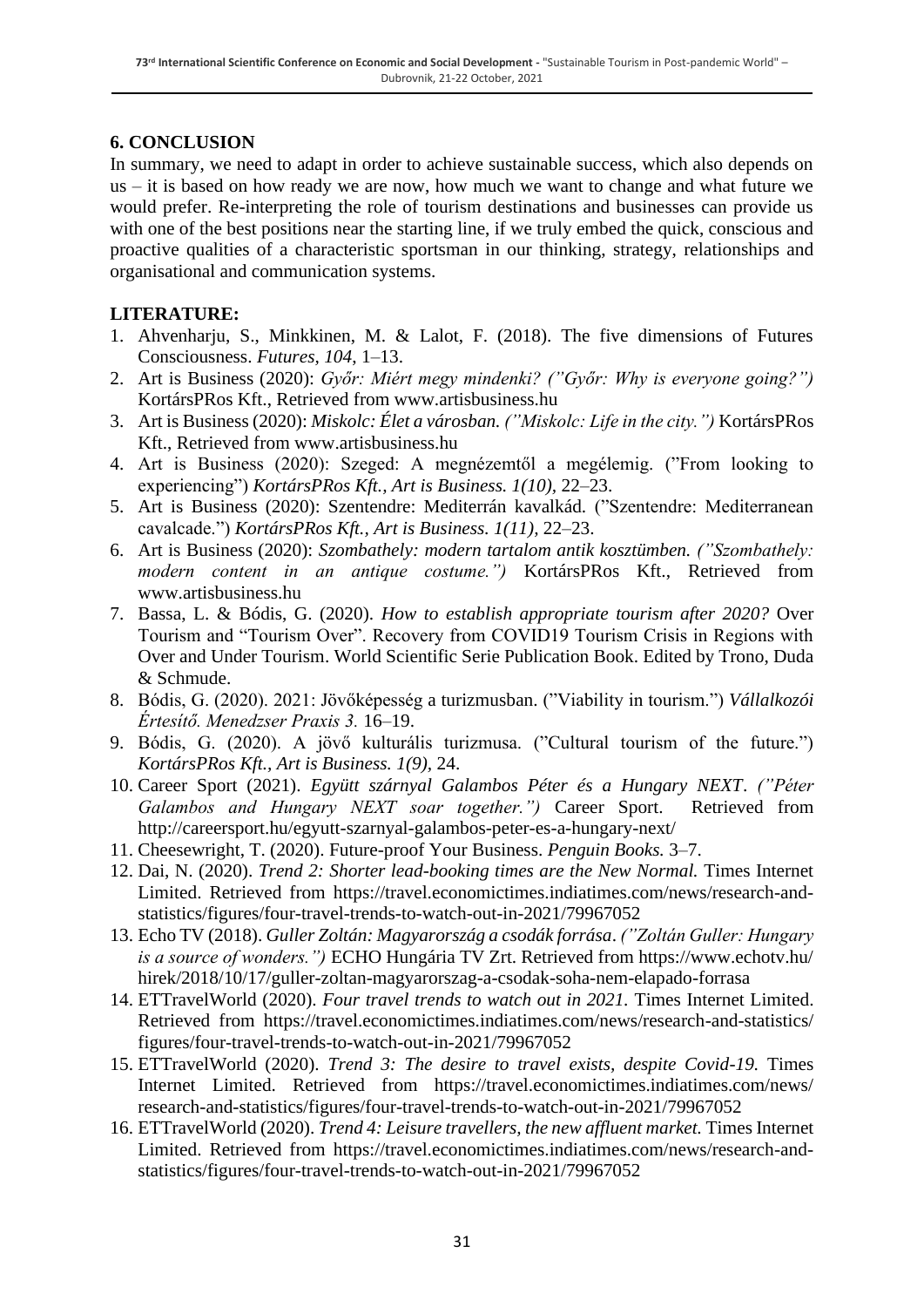#### **6. CONCLUSION**

In summary, we need to adapt in order to achieve sustainable success, which also depends on us – it is based on how ready we are now, how much we want to change and what future we would prefer. Re-interpreting the role of tourism destinations and businesses can provide us with one of the best positions near the starting line, if we truly embed the quick, conscious and proactive qualities of a characteristic sportsman in our thinking, strategy, relationships and organisational and communication systems.

#### **LITERATURE:**

- 1. Ahvenharju, S., Minkkinen, M. & Lalot, F. (2018). The five dimensions of Futures Consciousness. *Futures, 104*, 1–13.
- 2. Art is Business (2020): *Győr: Miért megy mindenki? ("Győr: Why is everyone going?")* KortársPRos Kft., Retrieved from www.artisbusiness.hu
- 3. Art is Business (2020): *Miskolc: Élet a városban. ("Miskolc: Life in the city.")* KortársPRos Kft., Retrieved from www.artisbusiness.hu
- 4. Art is Business (2020): Szeged: A megnézemtől a megélemig. ("From looking to experiencing") *KortársPRos Kft., Art is Business. 1(10),* 22–23.
- 5. Art is Business (2020): Szentendre: Mediterrán kavalkád. ("Szentendre: Mediterranean cavalcade.") *KortársPRos Kft., Art is Business. 1(11),* 22–23.
- 6. Art is Business (2020): *Szombathely: modern tartalom antik kosztümben. ("Szombathely: modern content in an antique costume.")* KortársPRos Kft., Retrieved from www.artisbusiness.hu
- 7. Bassa, L. & Bódis, G. (2020). *How to establish appropriate tourism after 2020?* Over Tourism and "Tourism Over". Recovery from COVID19 Tourism Crisis in Regions with Over and Under Tourism. World Scientific Serie Publication Book. Edited by Trono, Duda & Schmude.
- 8. Bódis, G. (2020). 2021: Jövőképesség a turizmusban. ("Viability in tourism.") *Vállalkozói Értesítő. Menedzser Praxis 3.* 16–19.
- 9. Bódis, G. (2020). A jövő kulturális turizmusa. ("Cultural tourism of the future.") *KortársPRos Kft., Art is Business. 1(9),* 24.
- 10. Career Sport (2021). *Együtt szárnyal Galambos Péter és a Hungary NEXT*. *("Péter Galambos and Hungary NEXT soar together.")* Career Sport. Retrieved from http://careersport.hu/egyutt-szarnyal-galambos-peter-es-a-hungary-next/
- 11. Cheesewright, T. (2020). Future-proof Your Business. *Penguin Books.* 3–7.
- 12. Dai, N. (2020). *Trend 2: Shorter lead-booking times are the New Normal.* Times Internet Limited. Retrieved from https://travel.economictimes.indiatimes.com/news/research-andstatistics/figures/four-travel-trends-to-watch-out-in-2021/79967052
- 13. Echo TV (2018). *Guller Zoltán: Magyarország a csodák forrása*. *("Zoltán Guller: Hungary is a source of wonders.")* ECHO Hungária TV Zrt. Retrieved from https://www.echotv.hu/ hirek/2018/10/17/guller-zoltan-magyarorszag-a-csodak-soha-nem-elapado-forrasa
- 14. ETTravelWorld (2020). *Four travel trends to watch out in 2021.* Times Internet Limited. Retrieved from https://travel.economictimes.indiatimes.com/news/research-and-statistics/ figures/four-travel-trends-to-watch-out-in-2021/79967052
- 15. ETTravelWorld (2020). *Trend 3: The desire to travel exists, despite Covid-19.* Times Internet Limited. Retrieved from https://travel.economictimes.indiatimes.com/news/ research-and-statistics/figures/four-travel-trends-to-watch-out-in-2021/79967052
- 16. ETTravelWorld (2020). *Trend 4: Leisure travellers, the new affluent market.* Times Internet Limited. Retrieved from https://travel.economictimes.indiatimes.com/news/research-andstatistics/figures/four-travel-trends-to-watch-out-in-2021/79967052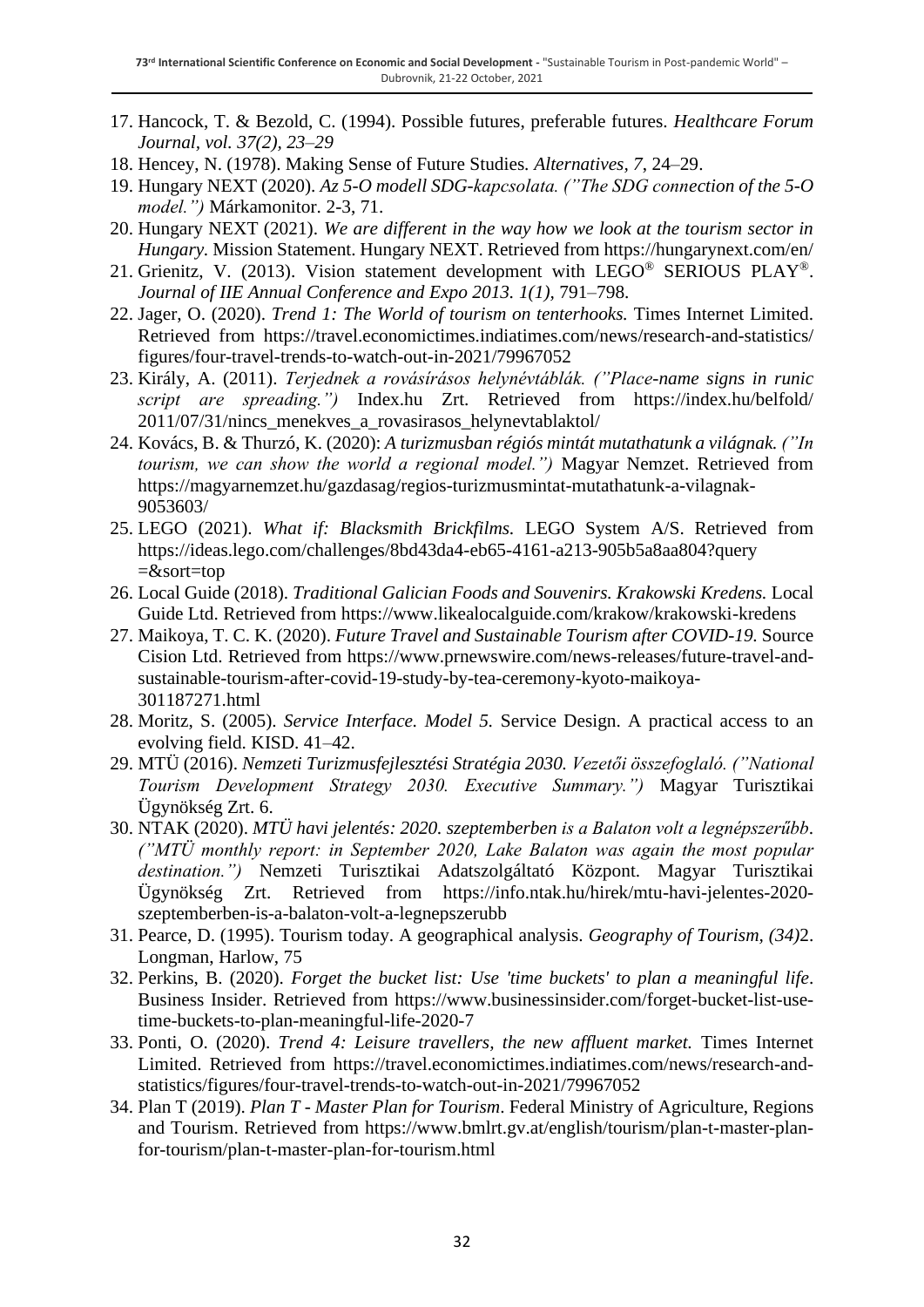- 17. Hancock, T. & Bezold, C. (1994). Possible futures, preferable futures. *Healthcare Forum Journal, vol. 37(2), 23–29*
- 18. Hencey, N. (1978). Making Sense of Future Studies*. Alternatives, 7*, 24–29.
- 19. Hungary NEXT (2020). *Az 5-O modell SDG-kapcsolata. ("The SDG connection of the 5-O model.")* Márkamonitor. 2-3, 71.
- 20. Hungary NEXT (2021). *We are different in the way how we look at the tourism sector in Hungary.* Mission Statement. Hungary NEXT. Retrieved from https://hungarynext.com/en/
- 21. Grienitz, V. (2013). Vision statement development with LEGO® SERIOUS PLAY®. *Journal of IIE Annual Conference and Expo 2013. 1(1),* 791–798.
- 22. Jager, O. (2020). *Trend 1: The World of tourism on tenterhooks.* Times Internet Limited. Retrieved from https://travel.economictimes.indiatimes.com/news/research-and-statistics/ figures/four-travel-trends-to-watch-out-in-2021/79967052
- 23. Király, A. (2011). *Terjednek a rovásírásos helynévtáblák. ("Place-name signs in runic script are spreading.")* Index.hu Zrt. Retrieved from https://index.hu/belfold/ 2011/07/31/nincs\_menekves\_a\_rovasirasos\_helynevtablaktol/
- 24. Kovács, B. & Thurzó, K. (2020): *A turizmusban régiós mintát mutathatunk a világnak. ("In tourism, we can show the world a regional model.")* Magyar Nemzet. Retrieved from https://magyarnemzet.hu/gazdasag/regios-turizmusmintat-mutathatunk-a-vilagnak-9053603/
- 25. LEGO (2021). *What if: Blacksmith Brickfilms.* LEGO System A/S. Retrieved from https://ideas.lego.com/challenges/8bd43da4-eb65-4161-a213-905b5a8aa804?query =&sort=top
- 26. Local Guide (2018). *Traditional Galician Foods and Souvenirs. Krakowski Kredens.* Local Guide Ltd. Retrieved from https://www.likealocalguide.com/krakow/krakowski-kredens
- 27. Maikoya, T. C. K. (2020). *Future Travel and Sustainable Tourism after COVID-19.* Source Cision Ltd. Retrieved from https://www.prnewswire.com/news-releases/future-travel-andsustainable-tourism-after-covid-19-study-by-tea-ceremony-kyoto-maikoya-301187271.html
- 28. Moritz, S. (2005). *Service Interface. Model 5.* Service Design. A practical access to an evolving field. KISD. 41–42.
- 29. MTÜ (2016). *Nemzeti Turizmusfejlesztési Stratégia 2030. Vezetői összefoglaló. ("National Tourism Development Strategy 2030. Executive Summary.")* Magyar Turisztikai Ügynökség Zrt. 6.
- 30. NTAK (2020). *MTÜ havi jelentés: 2020. szeptemberben is a Balaton volt a legnépszerűbb*. *("MTÜ monthly report: in September 2020, Lake Balaton was again the most popular destination.")* Nemzeti Turisztikai Adatszolgáltató Központ. Magyar Turisztikai Ügynökség Zrt. Retrieved from https://info.ntak.hu/hirek/mtu-havi-jelentes-2020 szeptemberben-is-a-balaton-volt-a-legnepszerubb
- 31. Pearce, D. (1995). Tourism today. A geographical analysis. *Geography of Tourism, (34)*2. Longman, Harlow, 75
- 32. Perkins, B. (2020). *Forget the bucket list: Use 'time buckets' to plan a meaningful life*. Business Insider. Retrieved from https://www.businessinsider.com/forget-bucket-list-usetime-buckets-to-plan-meaningful-life-2020-7
- 33. Ponti, O. (2020). *Trend 4: Leisure travellers, the new affluent market.* Times Internet Limited. Retrieved from https://travel.economictimes.indiatimes.com/news/research-andstatistics/figures/four-travel-trends-to-watch-out-in-2021/79967052
- 34. Plan T (2019). *Plan T - Master Plan for Tourism*. Federal Ministry of Agriculture, Regions and Tourism. Retrieved from https://www.bmlrt.gv.at/english/tourism/plan-t-master-planfor-tourism/plan-t-master-plan-for-tourism.html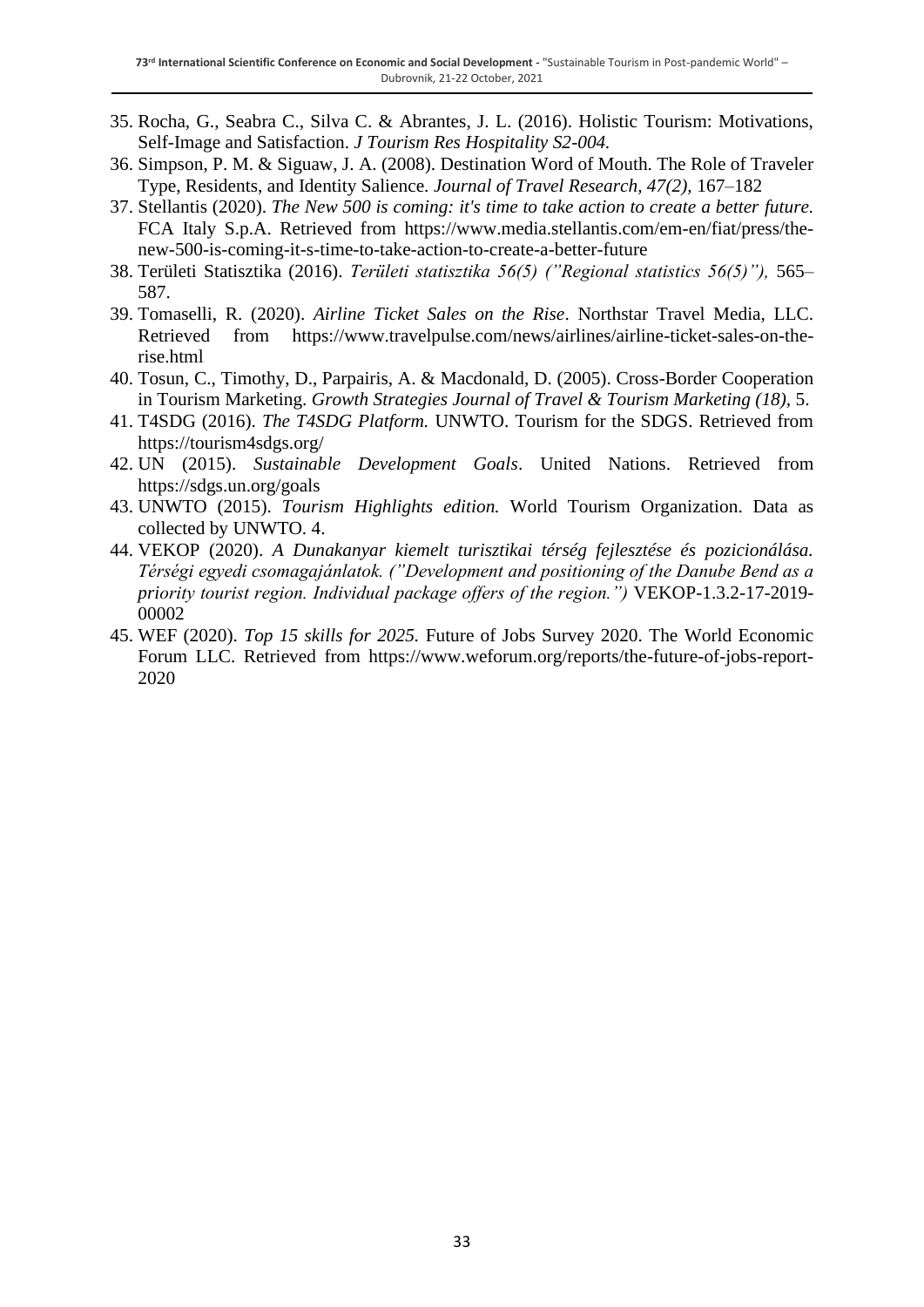- 35. Rocha, G., Seabra C., Silva C. & Abrantes, J. L. (2016). Holistic Tourism: Motivations, Self-Image and Satisfaction. *J Tourism Res Hospitality S2-004.*
- 36. Simpson, P. M. & Siguaw, J. A. (2008). Destination Word of Mouth. The Role of Traveler Type, Residents, and Identity Salience. *Journal of Travel Research, 47(2),* 167–182
- 37. Stellantis (2020). *The New 500 is coming: it's time to take action to create a better future.* FCA Italy S.p.A. Retrieved from https://www.media.stellantis.com/em-en/fiat/press/thenew-500-is-coming-it-s-time-to-take-action-to-create-a-better-future
- 38. Területi Statisztika (2016). *Területi statisztika 56(5) ("Regional statistics 56(5)"),* 565– 587.
- 39. Tomaselli, R. (2020). *Airline Ticket Sales on the Rise*. Northstar Travel Media, LLC. Retrieved from https://www.travelpulse.com/news/airlines/airline-ticket-sales-on-therise.html
- 40. Tosun, C., Timothy, D., Parpairis, A. & Macdonald, D. (2005). Cross-Border Cooperation in Tourism Marketing. *Growth Strategies Journal of Travel & Tourism Marketing (18),* 5.
- 41. T4SDG (2016). *The T4SDG Platform.* UNWTO. Tourism for the SDGS. Retrieved from https://tourism4sdgs.org/
- 42. UN (2015). *Sustainable Development Goals*. United Nations. Retrieved from https://sdgs.un.org/goals
- 43. UNWTO (2015). *Tourism Highlights edition.* World Tourism Organization. Data as collected by UNWTO. 4.
- 44. VEKOP (2020). *A Dunakanyar kiemelt turisztikai térség fejlesztése és pozicionálása. Térségi egyedi csomagajánlatok. ("Development and positioning of the Danube Bend as a priority tourist region. Individual package offers of the region.")* VEKOP-1.3.2-17-2019- 00002
- 45. WEF (2020). *Top 15 skills for 2025.* Future of Jobs Survey 2020. The World Economic Forum LLC. Retrieved from https://www.weforum.org/reports/the-future-of-jobs-report-2020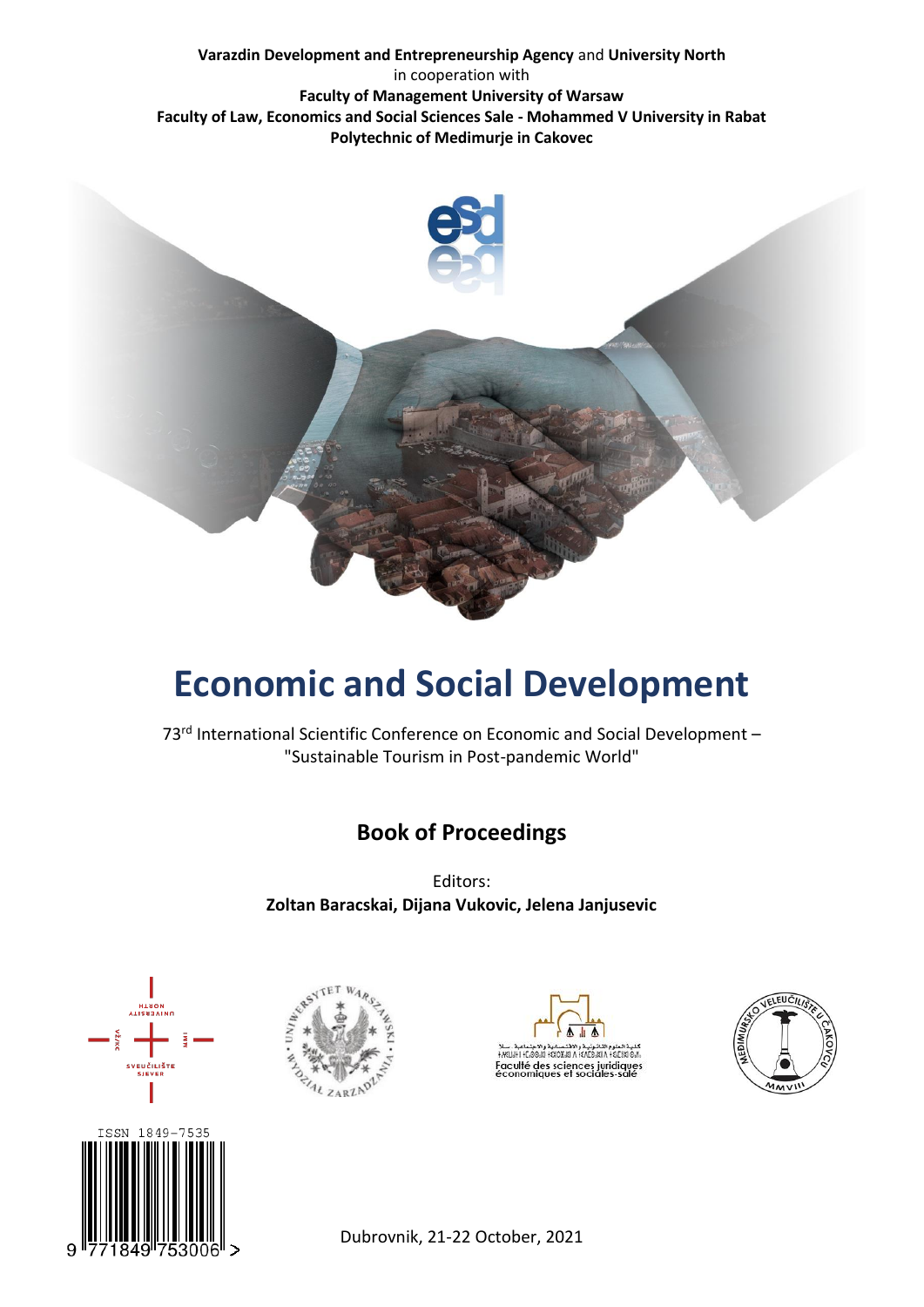#### **Varazdin Development and Entrepreneurship Agency** and **University North** in cooperation with **Faculty of Management University of Warsaw Faculty of Law, Economics and Social Sciences Sale - Mohammed V University in Rabat Polytechnic of Medimurje in Cakovec**



# **Economic and Social Development**

73<sup>rd</sup> International Scientific Conference on Economic and Social Development -"Sustainable Tourism in Post-pandemic World"

# **Book of Proceedings**

Editors: **Zoltan Baracskai, Dijana Vukovic, Jelena Janjusevic**









Dubrovnik, 21-22 October, 2021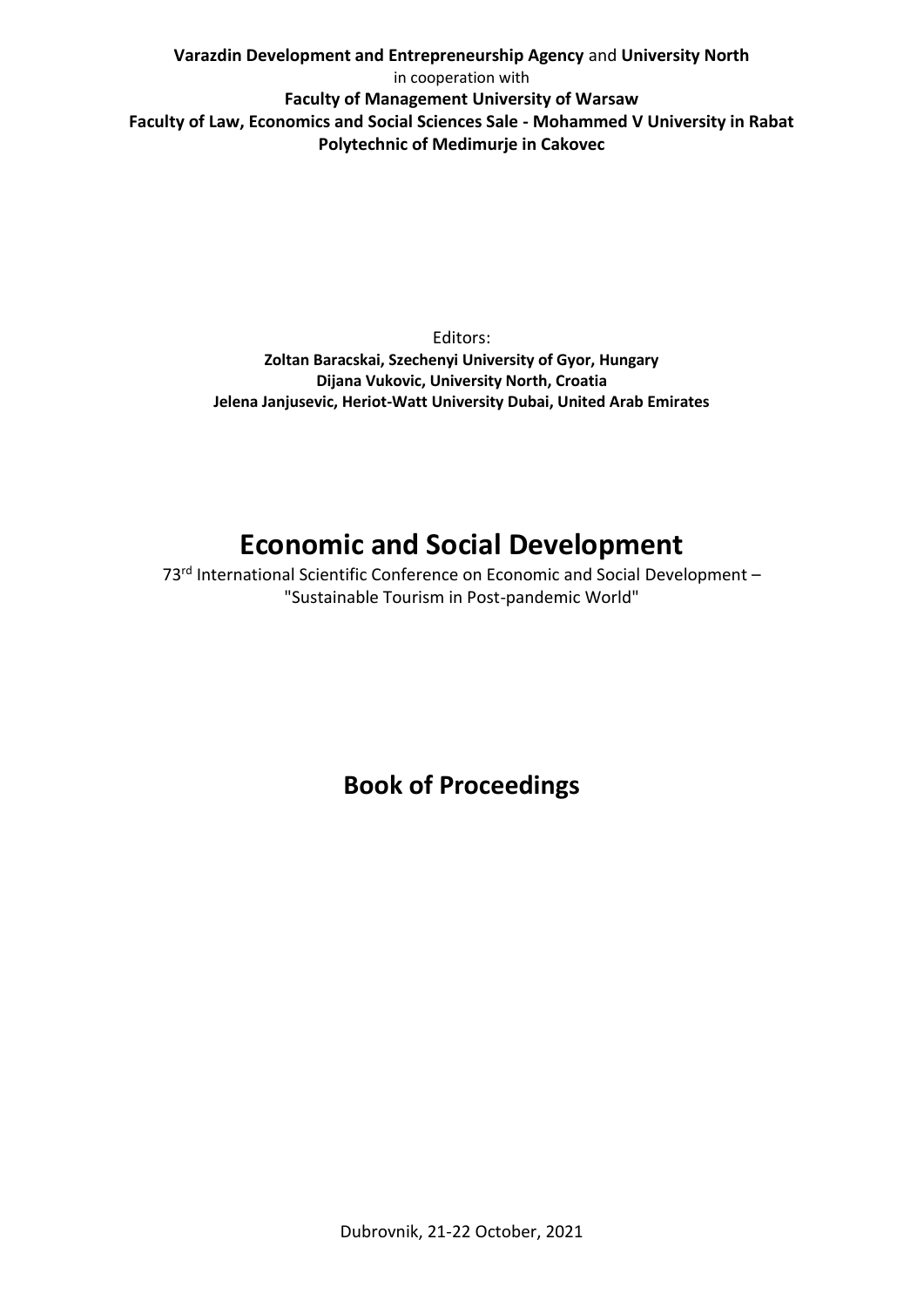**Varazdin Development and Entrepreneurship Agency** and **University North** in cooperation with **Faculty of Management University of Warsaw Faculty of Law, Economics and Social Sciences Sale - Mohammed V University in Rabat Polytechnic of Medimurje in Cakovec**

> Editors: **Zoltan Baracskai, Szechenyi University of Gyor, Hungary Dijana Vukovic, University North, Croatia Jelena Janjusevic, Heriot-Watt University Dubai, United Arab Emirates**

# **Economic and Social Development**

73<sup>rd</sup> International Scientific Conference on Economic and Social Development -"Sustainable Tourism in Post-pandemic World"

**Book of Proceedings**